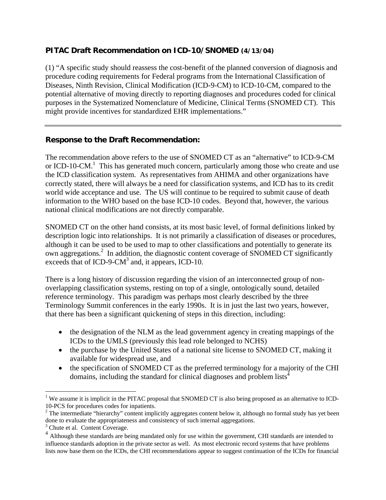## **PITAC Draft Recommendation on ICD-10/SNOMED (4/13/04)**

(1) "A specific study should reassess the cost-benefit of the planned conversion of diagnosis and procedure coding requirements for Federal programs from the International Classification of Diseases, Ninth Revision, Clinical Modification (ICD-9-CM) to ICD-10-CM, compared to the potential alternative of moving directly to reporting diagnoses and procedures coded for clinical purposes in the Systematized Nomenclature of Medicine, Clinical Terms (SNOMED CT). This might provide incentives for standardized EHR implementations."

## **Response to the Draft Recommendation:**

The recommendation above refers to the use of SNOMED CT as an "alternative" to ICD-9-CM or ICD-10-CM.<sup>1</sup> This has generated much concern, particularly among those who create and use the ICD classification system. As representatives from AHIMA and other organizations have correctly stated, there will always be a need for classification systems, and ICD has to its credit world wide acceptance and use. The US will continue to be required to submit cause of death information to the WHO based on the base ICD-10 codes. Beyond that, however, the various national clinical modifications are not directly comparable.

SNOMED CT on the other hand consists, at its most basic level, of formal definitions linked by description logic into relationships. It is not primarily a classification of diseases or procedures, although it can be used to be used to map to other classifications and potentially to generate its own aggregations.<sup>2</sup> In addition, the diagnostic content coverage of SNOMED CT significantly exceeds that of ICD-9-CM $3$  and, it appears, ICD-10.

There is a long history of discussion regarding the vision of an interconnected group of nonoverlapping classification systems, resting on top of a single, ontologically sound, detailed reference terminology. This paradigm was perhaps most clearly described by the three Terminology Summit conferences in the early 1990s. It is in just the last two years, however, that there has been a significant quickening of steps in this direction, including:

- the designation of the NLM as the lead government agency in creating mappings of the ICDs to the UMLS (previously this lead role belonged to NCHS)
- the purchase by the United States of a national site license to SNOMED CT, making it available for widespread use, and
- the specification of SNOMED CT as the preferred terminology for a majority of the CHI domains, including the standard for clinical diagnoses and problem lists<sup>4</sup>

 $\overline{a}$ 

<sup>&</sup>lt;sup>1</sup> We assume it is implicit in the PITAC proposal that SNOMED CT is also being proposed as an alternative to ICD-10-PCS for procedures codes for inpatients.

 $2$  The intermediate "hierarchy" content implicitly aggregates content below it, although no formal study has yet been done to evaluate the appropriateness and consistency of such internal aggregations.

<sup>&</sup>lt;sup>3</sup> Chute et al. Content Coverage.

<sup>&</sup>lt;sup>4</sup> Although these standards are being mandated only for use within the government, CHI standards are intended to influence standards adoption in the private sector as well. As most electronic record systems that have problems lists now base them on the ICDs, the CHI recommendations appear to suggest continuation of the ICDs for financial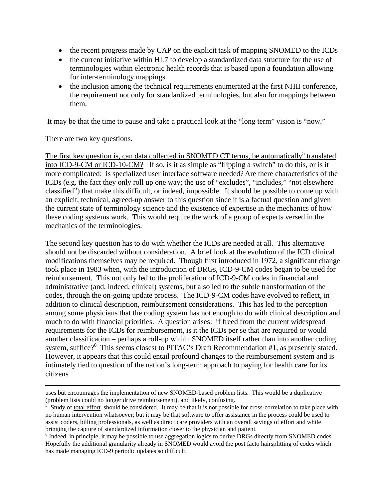- the recent progress made by CAP on the explicit task of mapping SNOMED to the ICDs
- the current initiative within HL7 to develop a standardized data structure for the use of terminologies within electronic health records that is based upon a foundation allowing for inter-terminology mappings
- the inclusion among the technical requirements enumerated at the first NHII conference, the requirement not only for standardized terminologies, but also for mappings between them.

It may be that the time to pause and take a practical look at the "long term" vision is "now."

There are two key questions.

The first key question is, can data collected in SNOMED CT terms, be automatically<sup>5</sup> translated into ICD-9-CM or ICD-10-CM? If so, is it as simple as "flipping a switch" to do this, or is it more complicated: is specialized user interface software needed? Are there characteristics of the ICDs (e.g. the fact they only roll up one way; the use of "excludes", "includes," "not elsewhere classified") that make this difficult, or indeed, impossible. It should be possible to come up with an explicit, technical, agreed-up answer to this question since it is a factual question and given the current state of terminology science and the existence of expertise in the mechanics of how these coding systems work. This would require the work of a group of experts versed in the mechanics of the terminologies.

The second key question has to do with whether the ICDs are needed at all. This alternative should not be discarded without consideration. A brief look at the evolution of the ICD clinical modifications themselves may be required. Though first introduced in 1972, a significant change took place in 1983 when, with the introduction of DRGs, ICD-9-CM codes began to be used for reimbursement. This not only led to the proliferation of ICD-9-CM codes in financial and administrative (and, indeed, clinical) systems, but also led to the subtle transformation of the codes, through the on-going update process. The ICD-9-CM codes have evolved to reflect, in addition to clinical description, reimbursement considerations. This has led to the perception among some physicians that the coding system has not enough to do with clinical description and much to do with financial priorities. A question arises: if freed from the current widespread requirements for the ICDs for reimbursement, is it the ICDs per se that are required or would another classification – perhaps a roll-up within SNOMED itself rather than into another coding system, suffice?<sup>6</sup> This seems closest to PITAC's Draft Recommendation #1, as presently stated. However, it appears that this could entail profound changes to the reimbursement system and is intimately tied to question of the nation's long-term approach to paying for health care for its citizens

uses but encounrages the implementation of new SNOMED-based problem lists. This would be a duplicative (problem lists could no longer drive reimbursement), and likely, confusing.

<sup>5</sup> Study of total effort should be considered. It may be that it is not possible for cross-correlation to take place with no human intervention whatsoever; but it may be that software to offer assistance in the process could be used to assist coders, billing professionals, as well as direct care providers with an overall savings of effort and while bringing the capture of standardized information closer to the physician and patient.

<sup>&</sup>lt;sup>6</sup> Indeed, in principle, it may be possible to use aggregation logics to derive DRGs directly from SNOMED codes. Hopefully the additional granularity already in SNOMED would avoid the post facto hairsplitting of codes which has made managing ICD-9 periodic updates so difficult.